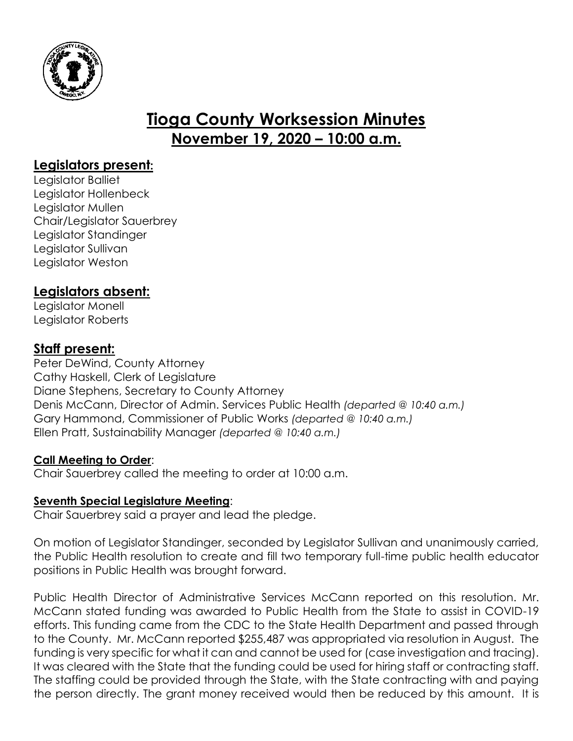

# **Tioga County Worksession Minutes November 19, 2020 – 10:00 a.m.**

## **Legislators present:**

Legislator Balliet Legislator Hollenbeck Legislator Mullen Chair/Legislator Sauerbrey Legislator Standinger Legislator Sullivan Legislator Weston

# **Legislators absent:**

Legislator Monell Legislator Roberts

## **Staff present:**

Peter DeWind, County Attorney Cathy Haskell, Clerk of Legislature Diane Stephens, Secretary to County Attorney Denis McCann, Director of Admin. Services Public Health *(departed @ 10:40 a.m.)* Gary Hammond, Commissioner of Public Works *(departed @ 10:40 a.m.)* Ellen Pratt, Sustainability Manager *(departed @ 10:40 a.m.)*

## **Call Meeting to Order**:

Chair Sauerbrey called the meeting to order at 10:00 a.m.

## **Seventh Special Legislature Meeting**:

Chair Sauerbrey said a prayer and lead the pledge.

On motion of Legislator Standinger, seconded by Legislator Sullivan and unanimously carried, the Public Health resolution to create and fill two temporary full-time public health educator positions in Public Health was brought forward.

Public Health Director of Administrative Services McCann reported on this resolution. Mr. McCann stated funding was awarded to Public Health from the State to assist in COVID-19 efforts. This funding came from the CDC to the State Health Department and passed through to the County. Mr. McCann reported \$255,487 was appropriated via resolution in August. The funding is very specific for what it can and cannot be used for (case investigation and tracing). It was cleared with the State that the funding could be used for hiring staff or contracting staff. The staffing could be provided through the State, with the State contracting with and paying the person directly. The grant money received would then be reduced by this amount. It is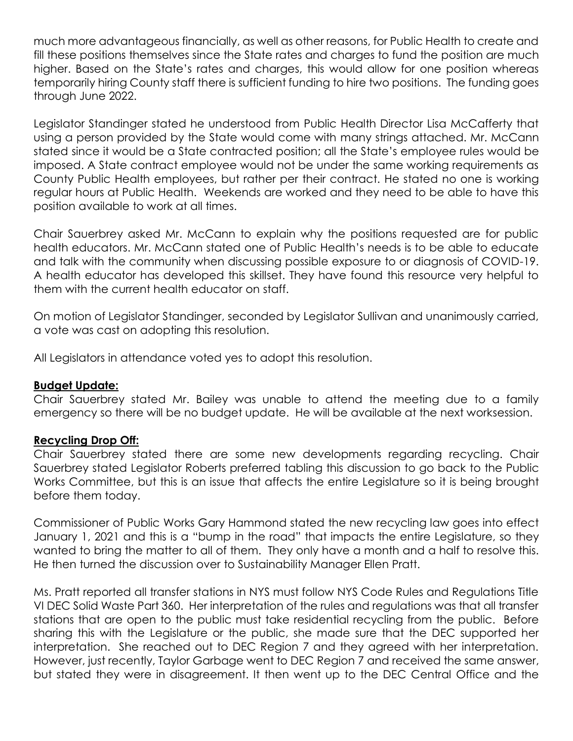much more advantageous financially, as well as other reasons, for Public Health to create and fill these positions themselves since the State rates and charges to fund the position are much higher. Based on the State's rates and charges, this would allow for one position whereas temporarily hiring County staff there is sufficient funding to hire two positions. The funding goes through June 2022.

Legislator Standinger stated he understood from Public Health Director Lisa McCafferty that using a person provided by the State would come with many strings attached. Mr. McCann stated since it would be a State contracted position; all the State's employee rules would be imposed. A State contract employee would not be under the same working requirements as County Public Health employees, but rather per their contract. He stated no one is working regular hours at Public Health. Weekends are worked and they need to be able to have this position available to work at all times.

Chair Sauerbrey asked Mr. McCann to explain why the positions requested are for public health educators. Mr. McCann stated one of Public Health's needs is to be able to educate and talk with the community when discussing possible exposure to or diagnosis of COVID-19. A health educator has developed this skillset. They have found this resource very helpful to them with the current health educator on staff.

On motion of Legislator Standinger, seconded by Legislator Sullivan and unanimously carried, a vote was cast on adopting this resolution.

All Legislators in attendance voted yes to adopt this resolution.

#### **Budget Update:**

Chair Sauerbrey stated Mr. Bailey was unable to attend the meeting due to a family emergency so there will be no budget update. He will be available at the next worksession.

#### **Recycling Drop Off:**

Chair Sauerbrey stated there are some new developments regarding recycling. Chair Sauerbrey stated Legislator Roberts preferred tabling this discussion to go back to the Public Works Committee, but this is an issue that affects the entire Legislature so it is being brought before them today.

Commissioner of Public Works Gary Hammond stated the new recycling law goes into effect January 1, 2021 and this is a "bump in the road" that impacts the entire Legislature, so they wanted to bring the matter to all of them. They only have a month and a half to resolve this. He then turned the discussion over to Sustainability Manager Ellen Pratt.

Ms. Pratt reported all transfer stations in NYS must follow NYS Code Rules and Regulations Title VI DEC Solid Waste Part 360. Her interpretation of the rules and regulations was that all transfer stations that are open to the public must take residential recycling from the public. Before sharing this with the Legislature or the public, she made sure that the DEC supported her interpretation. She reached out to DEC Region 7 and they agreed with her interpretation. However, just recently, Taylor Garbage went to DEC Region 7 and received the same answer, but stated they were in disagreement. It then went up to the DEC Central Office and the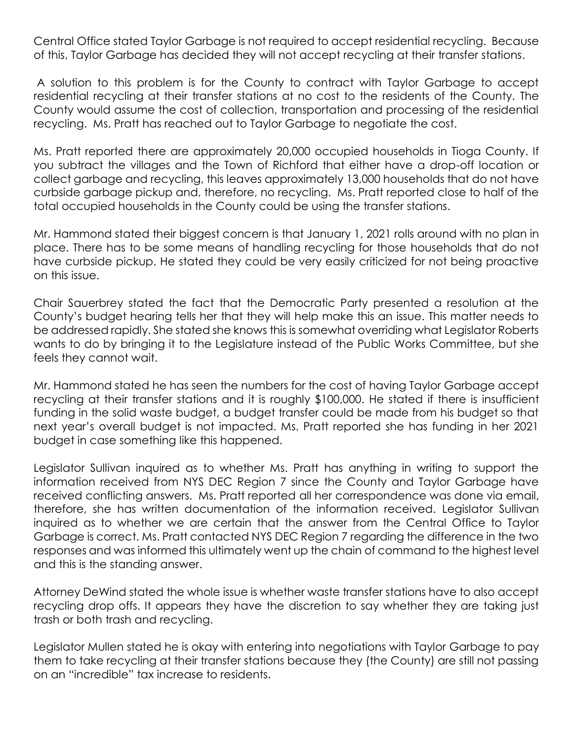Central Office stated Taylor Garbage is not required to accept residential recycling. Because of this, Taylor Garbage has decided they will not accept recycling at their transfer stations.

A solution to this problem is for the County to contract with Taylor Garbage to accept residential recycling at their transfer stations at no cost to the residents of the County. The County would assume the cost of collection, transportation and processing of the residential recycling. Ms. Pratt has reached out to Taylor Garbage to negotiate the cost.

Ms. Pratt reported there are approximately 20,000 occupied households in Tioga County. If you subtract the villages and the Town of Richford that either have a drop-off location or collect garbage and recycling, this leaves approximately 13,000 households that do not have curbside garbage pickup and, therefore, no recycling. Ms. Pratt reported close to half of the total occupied households in the County could be using the transfer stations.

Mr. Hammond stated their biggest concern is that January 1, 2021 rolls around with no plan in place. There has to be some means of handling recycling for those households that do not have curbside pickup. He stated they could be very easily criticized for not being proactive on this issue.

Chair Sauerbrey stated the fact that the Democratic Party presented a resolution at the County's budget hearing tells her that they will help make this an issue. This matter needs to be addressed rapidly. She stated she knows this is somewhat overriding what Legislator Roberts wants to do by bringing it to the Legislature instead of the Public Works Committee, but she feels they cannot wait.

Mr. Hammond stated he has seen the numbers for the cost of having Taylor Garbage accept recycling at their transfer stations and it is roughly \$100,000. He stated if there is insufficient funding in the solid waste budget, a budget transfer could be made from his budget so that next year's overall budget is not impacted. Ms. Pratt reported she has funding in her 2021 budget in case something like this happened.

Legislator Sullivan inquired as to whether Ms. Pratt has anything in writing to support the information received from NYS DEC Region 7 since the County and Taylor Garbage have received conflicting answers. Ms. Pratt reported all her correspondence was done via email, therefore, she has written documentation of the information received. Legislator Sullivan inquired as to whether we are certain that the answer from the Central Office to Taylor Garbage is correct. Ms. Pratt contacted NYS DEC Region 7 regarding the difference in the two responses and was informed this ultimately went up the chain of command to the highest level and this is the standing answer.

Attorney DeWind stated the whole issue is whether waste transfer stations have to also accept recycling drop offs. It appears they have the discretion to say whether they are taking just trash or both trash and recycling.

Legislator Mullen stated he is okay with entering into negotiations with Taylor Garbage to pay them to take recycling at their transfer stations because they (the County) are still not passing on an "incredible" tax increase to residents.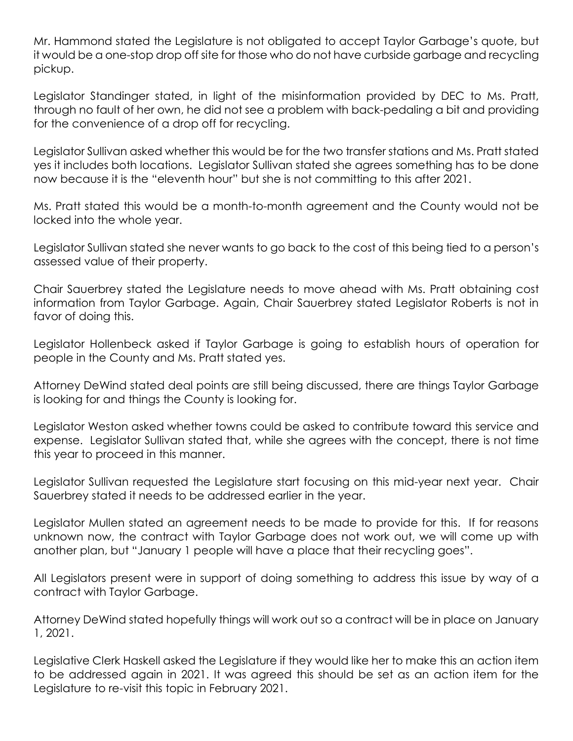Mr. Hammond stated the Legislature is not obligated to accept Taylor Garbage's quote, but it would be a one-stop drop off site for those who do not have curbside garbage and recycling pickup.

Legislator Standinger stated, in light of the misinformation provided by DEC to Ms. Pratt, through no fault of her own, he did not see a problem with back-pedaling a bit and providing for the convenience of a drop off for recycling.

Legislator Sullivan asked whether this would be for the two transfer stations and Ms. Pratt stated yes it includes both locations. Legislator Sullivan stated she agrees something has to be done now because it is the "eleventh hour" but she is not committing to this after 2021.

Ms. Pratt stated this would be a month-to-month agreement and the County would not be locked into the whole year.

Legislator Sullivan stated she never wants to go back to the cost of this being tied to a person's assessed value of their property.

Chair Sauerbrey stated the Legislature needs to move ahead with Ms. Pratt obtaining cost information from Taylor Garbage. Again, Chair Sauerbrey stated Legislator Roberts is not in favor of doing this.

Legislator Hollenbeck asked if Taylor Garbage is going to establish hours of operation for people in the County and Ms. Pratt stated yes.

Attorney DeWind stated deal points are still being discussed, there are things Taylor Garbage is looking for and things the County is looking for.

Legislator Weston asked whether towns could be asked to contribute toward this service and expense. Legislator Sullivan stated that, while she agrees with the concept, there is not time this year to proceed in this manner.

Legislator Sullivan requested the Legislature start focusing on this mid-year next year. Chair Sauerbrey stated it needs to be addressed earlier in the year.

Legislator Mullen stated an agreement needs to be made to provide for this. If for reasons unknown now, the contract with Taylor Garbage does not work out, we will come up with another plan, but "January 1 people will have a place that their recycling goes".

All Legislators present were in support of doing something to address this issue by way of a contract with Taylor Garbage.

Attorney DeWind stated hopefully things will work out so a contract will be in place on January 1, 2021.

Legislative Clerk Haskell asked the Legislature if they would like her to make this an action item to be addressed again in 2021. It was agreed this should be set as an action item for the Legislature to re-visit this topic in February 2021.